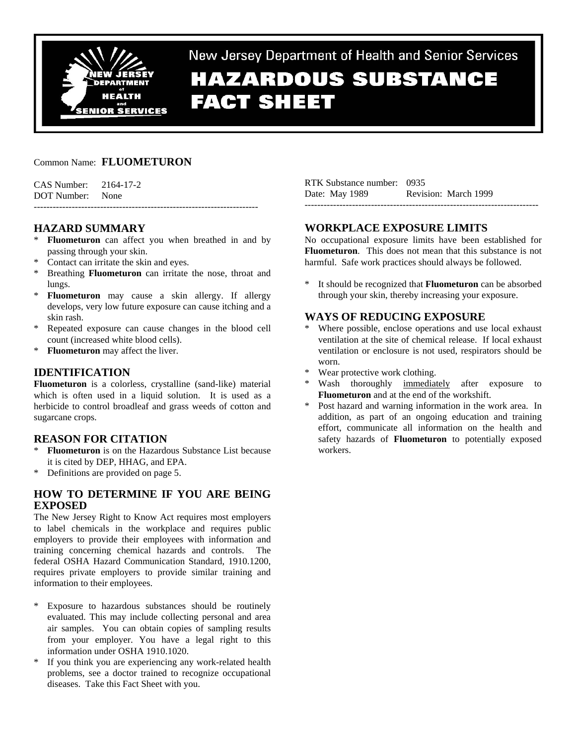

New Jersey Department of Health and Senior Services

# **HAZARDOUS SUBSTANCE FACT SHEET**

### Common Name: **FLUOMETURON**

CAS Number: 2164-17-2 DOT Number: None -----------------------------------------------------------------------

# **HAZARD SUMMARY**

- \* **Fluometuron** can affect you when breathed in and by passing through your skin.
- Contact can irritate the skin and eyes.
- \* Breathing **Fluometuron** can irritate the nose, throat and lungs.
- \* **Fluometuron** may cause a skin allergy. If allergy develops, very low future exposure can cause itching and a skin rash.
- \* Repeated exposure can cause changes in the blood cell count (increased white blood cells).
- **Fluometuron** may affect the liver.

# **IDENTIFICATION**

**Fluometuron** is a colorless, crystalline (sand-like) material which is often used in a liquid solution. It is used as a herbicide to control broadleaf and grass weeds of cotton and sugarcane crops.

### **REASON FOR CITATION**

- \* **Fluometuron** is on the Hazardous Substance List because it is cited by DEP, HHAG, and EPA.
- \* Definitions are provided on page 5.

### **HOW TO DETERMINE IF YOU ARE BEING EXPOSED**

The New Jersey Right to Know Act requires most employers to label chemicals in the workplace and requires public employers to provide their employees with information and training concerning chemical hazards and controls. The federal OSHA Hazard Communication Standard, 1910.1200, requires private employers to provide similar training and information to their employees.

- \* Exposure to hazardous substances should be routinely evaluated. This may include collecting personal and area air samples. You can obtain copies of sampling results from your employer. You have a legal right to this information under OSHA 1910.1020.
- \* If you think you are experiencing any work-related health problems, see a doctor trained to recognize occupational diseases. Take this Fact Sheet with you.

| RTK Substance number: 0935 |                      |
|----------------------------|----------------------|
| Date: May 1989             | Revision: March 1999 |
|                            |                      |

# **WORKPLACE EXPOSURE LIMITS**

No occupational exposure limits have been established for **Fluometuron**. This does not mean that this substance is not harmful. Safe work practices should always be followed.

It should be recognized that **Fluometuron** can be absorbed through your skin, thereby increasing your exposure.

# **WAYS OF REDUCING EXPOSURE**

- Where possible, enclose operations and use local exhaust ventilation at the site of chemical release. If local exhaust ventilation or enclosure is not used, respirators should be worn.
- \* Wear protective work clothing.
- Wash thoroughly immediately after exposure to **Fluometuron** and at the end of the workshift.
- Post hazard and warning information in the work area. In addition, as part of an ongoing education and training effort, communicate all information on the health and safety hazards of **Fluometuron** to potentially exposed workers.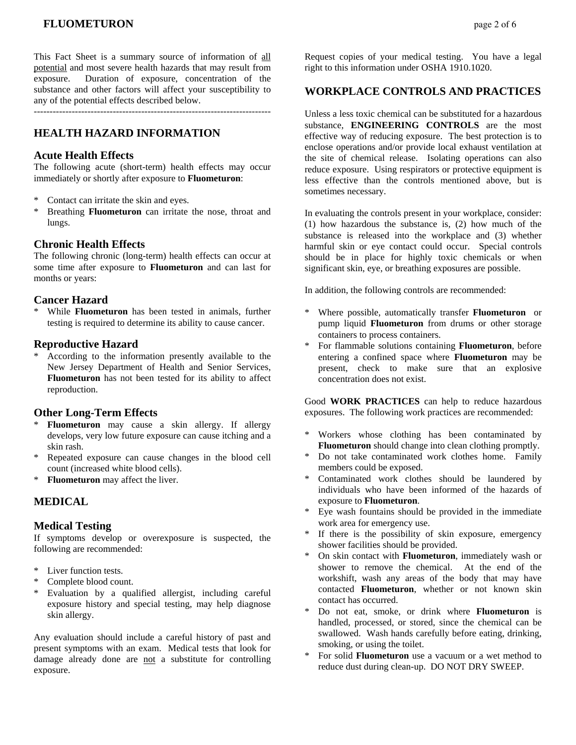# **FLUOMETURON** page 2 of 6

This Fact Sheet is a summary source of information of all potential and most severe health hazards that may result from exposure. Duration of exposure, concentration of the substance and other factors will affect your susceptibility to any of the potential effects described below.

---------------------------------------------------------------------------

### **HEALTH HAZARD INFORMATION**

### **Acute Health Effects**

The following acute (short-term) health effects may occur immediately or shortly after exposure to **Fluometuron**:

- Contact can irritate the skin and eyes.
- \* Breathing **Fluometuron** can irritate the nose, throat and lungs.

### **Chronic Health Effects**

The following chronic (long-term) health effects can occur at some time after exposure to **Fluometuron** and can last for months or years:

### **Cancer Hazard**

\* While **Fluometuron** has been tested in animals, further testing is required to determine its ability to cause cancer.

### **Reproductive Hazard**

According to the information presently available to the New Jersey Department of Health and Senior Services, **Fluometuron** has not been tested for its ability to affect reproduction.

#### **Other Long-Term Effects**

- Fluometuron may cause a skin allergy. If allergy develops, very low future exposure can cause itching and a skin rash.
- \* Repeated exposure can cause changes in the blood cell count (increased white blood cells).
- **Fluometuron** may affect the liver.

### **MEDICAL**

#### **Medical Testing**

If symptoms develop or overexposure is suspected, the following are recommended:

- \* Liver function tests.
- Complete blood count.
- Evaluation by a qualified allergist, including careful exposure history and special testing, may help diagnose skin allergy.

Any evaluation should include a careful history of past and present symptoms with an exam. Medical tests that look for damage already done are not a substitute for controlling exposure.

Request copies of your medical testing. You have a legal right to this information under OSHA 1910.1020.

### **WORKPLACE CONTROLS AND PRACTICES**

Unless a less toxic chemical can be substituted for a hazardous substance, **ENGINEERING CONTROLS** are the most effective way of reducing exposure. The best protection is to enclose operations and/or provide local exhaust ventilation at the site of chemical release. Isolating operations can also reduce exposure. Using respirators or protective equipment is less effective than the controls mentioned above, but is sometimes necessary.

In evaluating the controls present in your workplace, consider: (1) how hazardous the substance is, (2) how much of the substance is released into the workplace and (3) whether harmful skin or eye contact could occur. Special controls should be in place for highly toxic chemicals or when significant skin, eye, or breathing exposures are possible.

In addition, the following controls are recommended:

- \* Where possible, automatically transfer **Fluometuron** or pump liquid **Fluometuron** from drums or other storage containers to process containers.
- \* For flammable solutions containing **Fluometuron**, before entering a confined space where **Fluometuron** may be present, check to make sure that an explosive concentration does not exist.

Good **WORK PRACTICES** can help to reduce hazardous exposures. The following work practices are recommended:

- Workers whose clothing has been contaminated by **Fluometuron** should change into clean clothing promptly.
- Do not take contaminated work clothes home. Family members could be exposed.
- Contaminated work clothes should be laundered by individuals who have been informed of the hazards of exposure to **Fluometuron**.
- \* Eye wash fountains should be provided in the immediate work area for emergency use.
- If there is the possibility of skin exposure, emergency shower facilities should be provided.
- \* On skin contact with **Fluometuron**, immediately wash or shower to remove the chemical. At the end of the workshift, wash any areas of the body that may have contacted **Fluometuron**, whether or not known skin contact has occurred.
- Do not eat, smoke, or drink where **Fluometuron** is handled, processed, or stored, since the chemical can be swallowed. Wash hands carefully before eating, drinking, smoking, or using the toilet.
- \* For solid **Fluometuron** use a vacuum or a wet method to reduce dust during clean-up. DO NOT DRY SWEEP.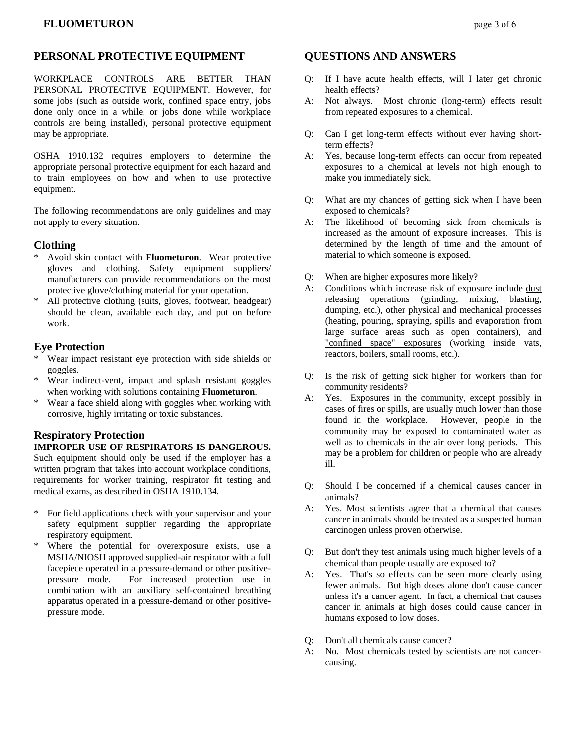### **PERSONAL PROTECTIVE EQUIPMENT**

WORKPLACE CONTROLS ARE BETTER THAN PERSONAL PROTECTIVE EQUIPMENT. However, for some jobs (such as outside work, confined space entry, jobs done only once in a while, or jobs done while workplace controls are being installed), personal protective equipment may be appropriate.

OSHA 1910.132 requires employers to determine the appropriate personal protective equipment for each hazard and to train employees on how and when to use protective equipment.

The following recommendations are only guidelines and may not apply to every situation.

### **Clothing**

- \* Avoid skin contact with **Fluometuron**. Wear protective gloves and clothing. Safety equipment suppliers/ manufacturers can provide recommendations on the most protective glove/clothing material for your operation.
- \* All protective clothing (suits, gloves, footwear, headgear) should be clean, available each day, and put on before work.

### **Eye Protection**

- Wear impact resistant eye protection with side shields or goggles.
- \* Wear indirect-vent, impact and splash resistant goggles when working with solutions containing **Fluometuron**.
- \* Wear a face shield along with goggles when working with corrosive, highly irritating or toxic substances.

### **Respiratory Protection IMPROPER USE OF RESPIRATORS IS DANGEROUS.**

Such equipment should only be used if the employer has a written program that takes into account workplace conditions, requirements for worker training, respirator fit testing and medical exams, as described in OSHA 1910.134.

- \* For field applications check with your supervisor and your safety equipment supplier regarding the appropriate respiratory equipment.
- \* Where the potential for overexposure exists, use a MSHA/NIOSH approved supplied-air respirator with a full facepiece operated in a pressure-demand or other positivepressure mode. For increased protection use in combination with an auxiliary self-contained breathing apparatus operated in a pressure-demand or other positivepressure mode.

### **QUESTIONS AND ANSWERS**

- Q: If I have acute health effects, will I later get chronic health effects?
- A: Not always. Most chronic (long-term) effects result from repeated exposures to a chemical.
- Q: Can I get long-term effects without ever having shortterm effects?
- A: Yes, because long-term effects can occur from repeated exposures to a chemical at levels not high enough to make you immediately sick.
- Q: What are my chances of getting sick when I have been exposed to chemicals?
- A: The likelihood of becoming sick from chemicals is increased as the amount of exposure increases. This is determined by the length of time and the amount of material to which someone is exposed.
- Q: When are higher exposures more likely?
- A: Conditions which increase risk of exposure include dust releasing operations (grinding, mixing, blasting, dumping, etc.), other physical and mechanical processes (heating, pouring, spraying, spills and evaporation from large surface areas such as open containers), and "confined space" exposures (working inside vats, reactors, boilers, small rooms, etc.).
- Q: Is the risk of getting sick higher for workers than for community residents?
- A: Yes. Exposures in the community, except possibly in cases of fires or spills, are usually much lower than those found in the workplace. However, people in the community may be exposed to contaminated water as well as to chemicals in the air over long periods. This may be a problem for children or people who are already ill.
- Q: Should I be concerned if a chemical causes cancer in animals?
- A: Yes. Most scientists agree that a chemical that causes cancer in animals should be treated as a suspected human carcinogen unless proven otherwise.
- Q: But don't they test animals using much higher levels of a chemical than people usually are exposed to?
- A: Yes. That's so effects can be seen more clearly using fewer animals. But high doses alone don't cause cancer unless it's a cancer agent. In fact, a chemical that causes cancer in animals at high doses could cause cancer in humans exposed to low doses.
- Q: Don't all chemicals cause cancer?
- A: No. Most chemicals tested by scientists are not cancercausing.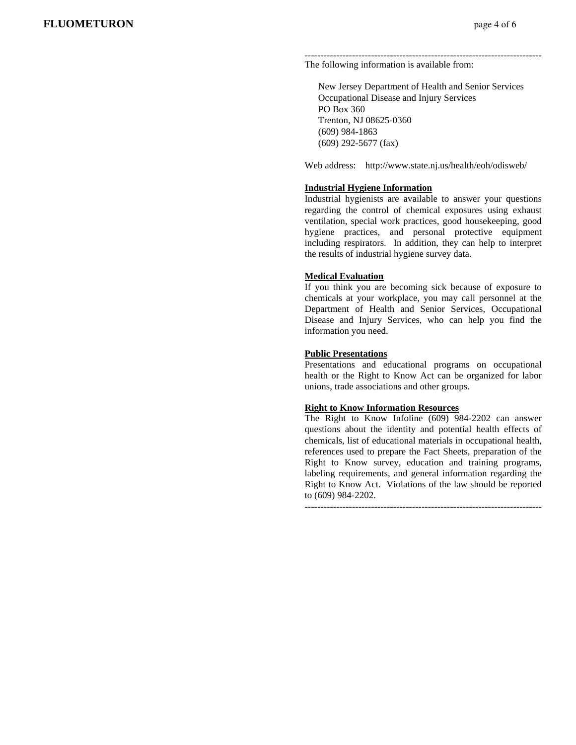#### --------------------------------------------------------------------------- The following information is available from:

 New Jersey Department of Health and Senior Services Occupational Disease and Injury Services PO Box 360 Trenton, NJ 08625-0360 (609) 984-1863 (609) 292-5677 (fax)

Web address: http://www.state.nj.us/health/eoh/odisweb/

#### **Industrial Hygiene Information**

Industrial hygienists are available to answer your questions regarding the control of chemical exposures using exhaust ventilation, special work practices, good housekeeping, good hygiene practices, and personal protective equipment including respirators. In addition, they can help to interpret the results of industrial hygiene survey data.

#### **Medical Evaluation**

If you think you are becoming sick because of exposure to chemicals at your workplace, you may call personnel at the Department of Health and Senior Services, Occupational Disease and Injury Services, who can help you find the information you need.

#### **Public Presentations**

Presentations and educational programs on occupational health or the Right to Know Act can be organized for labor unions, trade associations and other groups.

### **Right to Know Information Resources**

The Right to Know Infoline (609) 984-2202 can answer questions about the identity and potential health effects of chemicals, list of educational materials in occupational health, references used to prepare the Fact Sheets, preparation of the Right to Know survey, education and training programs, labeling requirements, and general information regarding the Right to Know Act. Violations of the law should be reported to (609) 984-2202.

---------------------------------------------------------------------------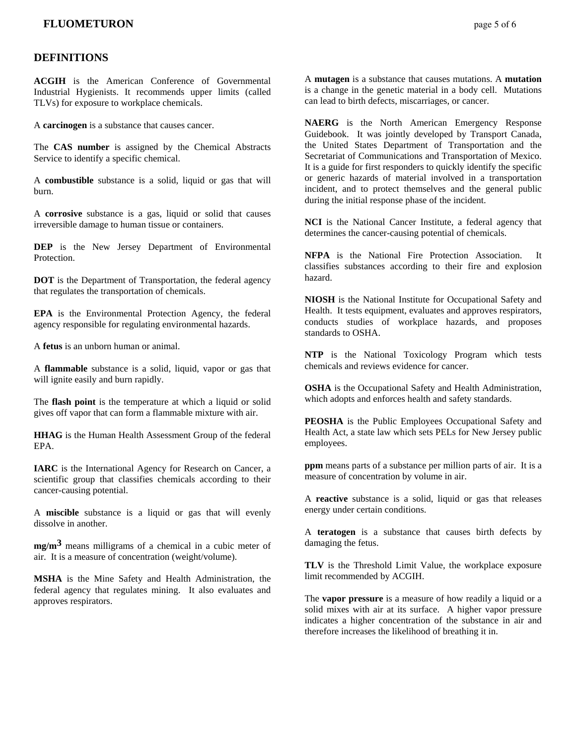### **DEFINITIONS**

**ACGIH** is the American Conference of Governmental Industrial Hygienists. It recommends upper limits (called TLVs) for exposure to workplace chemicals.

A **carcinogen** is a substance that causes cancer.

The **CAS number** is assigned by the Chemical Abstracts Service to identify a specific chemical.

A **combustible** substance is a solid, liquid or gas that will burn.

A **corrosive** substance is a gas, liquid or solid that causes irreversible damage to human tissue or containers.

**DEP** is the New Jersey Department of Environmental Protection.

**DOT** is the Department of Transportation, the federal agency that regulates the transportation of chemicals.

**EPA** is the Environmental Protection Agency, the federal agency responsible for regulating environmental hazards.

A **fetus** is an unborn human or animal.

A **flammable** substance is a solid, liquid, vapor or gas that will ignite easily and burn rapidly.

The **flash point** is the temperature at which a liquid or solid gives off vapor that can form a flammable mixture with air.

**HHAG** is the Human Health Assessment Group of the federal EPA.

**IARC** is the International Agency for Research on Cancer, a scientific group that classifies chemicals according to their cancer-causing potential.

A **miscible** substance is a liquid or gas that will evenly dissolve in another.

**mg/m3** means milligrams of a chemical in a cubic meter of air. It is a measure of concentration (weight/volume).

**MSHA** is the Mine Safety and Health Administration, the federal agency that regulates mining. It also evaluates and approves respirators.

A **mutagen** is a substance that causes mutations. A **mutation** is a change in the genetic material in a body cell. Mutations can lead to birth defects, miscarriages, or cancer.

**NAERG** is the North American Emergency Response Guidebook. It was jointly developed by Transport Canada, the United States Department of Transportation and the Secretariat of Communications and Transportation of Mexico. It is a guide for first responders to quickly identify the specific or generic hazards of material involved in a transportation incident, and to protect themselves and the general public during the initial response phase of the incident.

**NCI** is the National Cancer Institute, a federal agency that determines the cancer-causing potential of chemicals.

**NFPA** is the National Fire Protection Association. It classifies substances according to their fire and explosion hazard.

**NIOSH** is the National Institute for Occupational Safety and Health. It tests equipment, evaluates and approves respirators, conducts studies of workplace hazards, and proposes standards to OSHA.

**NTP** is the National Toxicology Program which tests chemicals and reviews evidence for cancer.

**OSHA** is the Occupational Safety and Health Administration, which adopts and enforces health and safety standards.

**PEOSHA** is the Public Employees Occupational Safety and Health Act, a state law which sets PELs for New Jersey public employees.

**ppm** means parts of a substance per million parts of air. It is a measure of concentration by volume in air.

A **reactive** substance is a solid, liquid or gas that releases energy under certain conditions.

A **teratogen** is a substance that causes birth defects by damaging the fetus.

**TLV** is the Threshold Limit Value, the workplace exposure limit recommended by ACGIH.

The **vapor pressure** is a measure of how readily a liquid or a solid mixes with air at its surface. A higher vapor pressure indicates a higher concentration of the substance in air and therefore increases the likelihood of breathing it in.